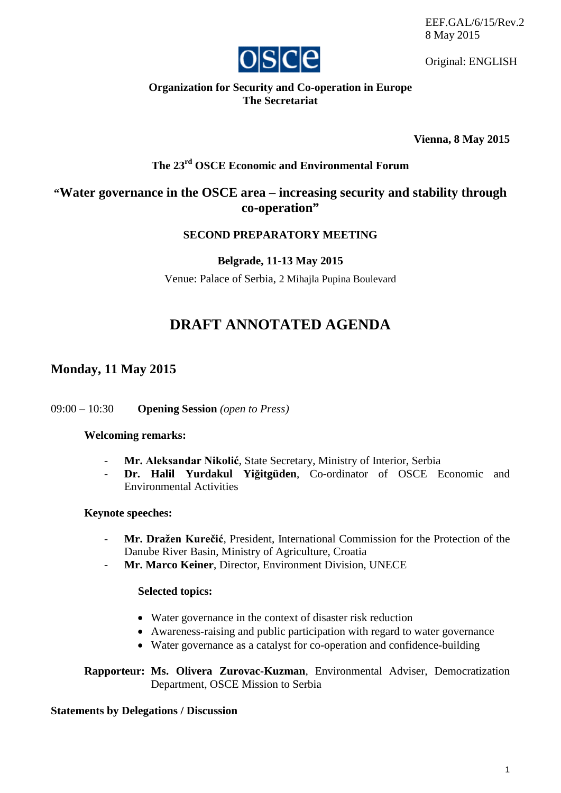EEF.GAL/6/15/Rev.2 8 May 2015



Original: ENGLISH

## **Organization for Security and Co-operation in Europe The Secretariat**

**Vienna, 8 May 2015**

# **The 23rd OSCE Economic and Environmental Forum**

## **"Water governance in the OSCE area – increasing security and stability through co-operation"**

## **SECOND PREPARATORY MEETING**

### **Belgrade, 11-13 May 2015**

Venue: Palace of Serbia, 2 Mihajla Pupina Boulevard

# **DRAFT ANNOTATED AGENDA**

## **Monday, 11 May 2015**

#### 09:00 – 10:30 **Opening Session** *(open to Press)*

### **Welcoming remarks:**

- **Mr. Aleksandar Nikolić**, State Secretary, Ministry of Interior, Serbia
- **Dr. Halil Yurdakul Yiğitgüden**, Co-ordinator of OSCE Economic and Environmental Activities

#### **Keynote speeches:**

- **Mr. Dražen Kurečić**, President, International Commission for the Protection of the Danube River Basin, Ministry of Agriculture, Croatia
- **Mr. Marco Keiner**, Director, Environment Division, UNECE

#### **Selected topics:**

- Water governance in the context of disaster risk reduction
- Awareness-raising and public participation with regard to water governance
- Water governance as a catalyst for co-operation and confidence-building

**Rapporteur: Ms. Olivera Zurovac-Kuzman**, Environmental Adviser, Democratization Department, OSCE Mission to Serbia

#### **Statements by Delegations / Discussion**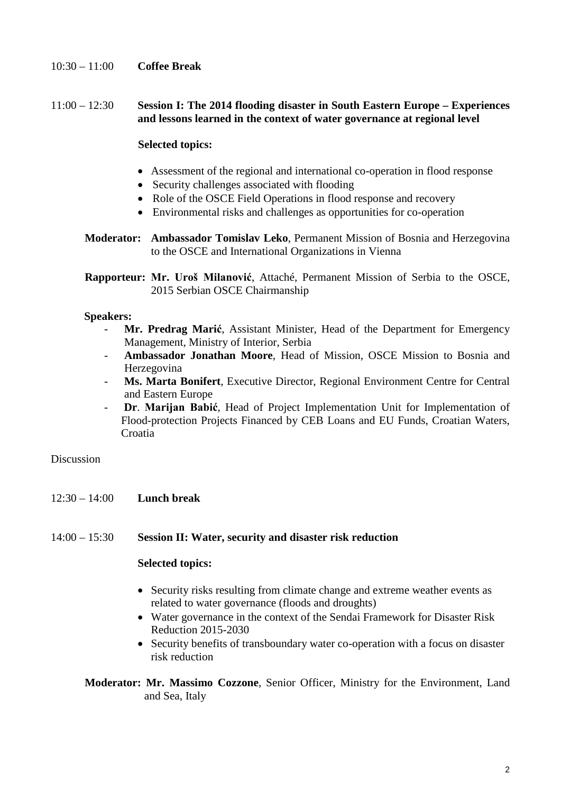### 10:30 – 11:00 **Coffee Break**

#### 11:00 – 12:30 **Session I: The 2014 flooding disaster in South Eastern Europe – Experiences and lessons learned in the context of water governance at regional level**

#### **Selected topics:**

- Assessment of the regional and international co-operation in flood response
- Security challenges associated with flooding
- Role of the OSCE Field Operations in flood response and recovery
- Environmental risks and challenges as opportunities for co-operation
- **Moderator: Ambassador Tomislav Leko**, Permanent Mission of Bosnia and Herzegovina to the OSCE and International Organizations in Vienna

**Rapporteur: Mr. Uroš Milanović**, Attaché, Permanent Mission of Serbia to the OSCE, 2015 Serbian OSCE Chairmanship

#### **Speakers:**

- **Mr. Predrag Marić**, Assistant Minister, Head of the Department for Emergency Management, Ministry of Interior, Serbia
- **Ambassador Jonathan Moore**, Head of Mission, OSCE Mission to Bosnia and Herzegovina
- **Ms. Marta Bonifert**, Executive Director, Regional Environment Centre for Central and Eastern Europe
- **Dr**. **Marijan Babić**, Head of Project Implementation Unit for Implementation of Flood-protection Projects Financed by CEB Loans and EU Funds, Croatian Waters, Croatia

Discussion

12:30 – 14:00 **Lunch break**

#### 14:00 – 15:30 **Session II: Water, security and disaster risk reduction**

#### **Selected topics:**

- Security risks resulting from climate change and extreme weather events as related to water governance (floods and droughts)
- Water governance in the context of the Sendai Framework for Disaster Risk Reduction 2015-2030
- Security benefits of transboundary water co-operation with a focus on disaster risk reduction

**Moderator: Mr. Massimo Cozzone**, Senior Officer, Ministry for the Environment, Land and Sea, Italy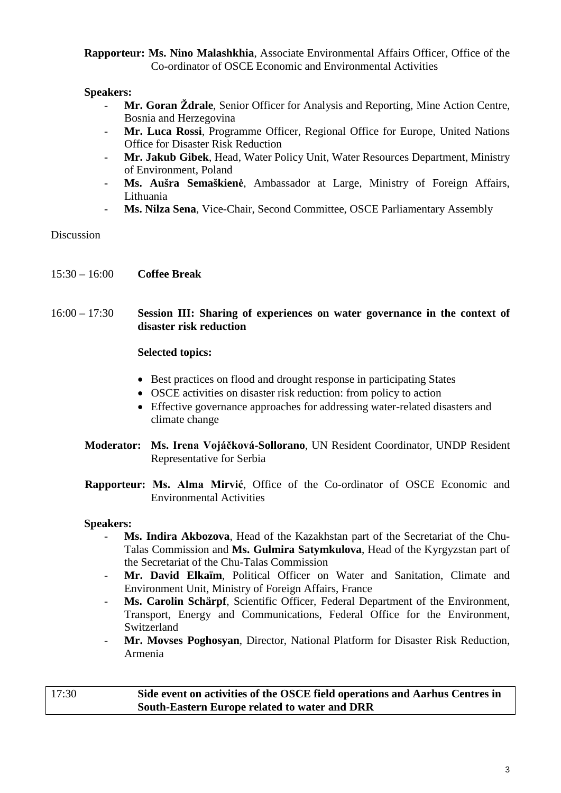**Rapporteur: Ms. Nino Malashkhia**, Associate Environmental Affairs Officer, Office of the Co-ordinator of OSCE Economic and Environmental Activities

#### **Speakers:**

- Mr. Goran *Ždrale*, Senior Officer for Analysis and Reporting, Mine Action Centre, Bosnia and Herzegovina
- Mr. Luca Rossi, Programme Officer, Regional Office for Europe, United Nations Office for Disaster Risk Reduction
- **Mr. Jakub Gibek**, Head, Water Policy Unit, Water Resources Department, Ministry of Environment, Poland
- **Ms. Aušra Semaškienė**, Ambassador at Large, Ministry of Foreign Affairs, Lithuania
- Ms. Nilza Sena, Vice-Chair, Second Committee, OSCE Parliamentary Assembly

Discussion

15:30 – 16:00 **Coffee Break**

#### 16:00 – 17:30 **Session III: Sharing of experiences on water governance in the context of disaster risk reduction**

#### **Selected topics:**

- Best practices on flood and drought response in participating States
- OSCE activities on disaster risk reduction: from policy to action
- Effective governance approaches for addressing water-related disasters and climate change
- **Moderator: Ms. Irena Vojáčková-Sollorano**, UN Resident Coordinator, UNDP Resident Representative for Serbia
- **Rapporteur: Ms. Alma Mirvić**, Office of the Co-ordinator of OSCE Economic and Environmental Activities

#### **Speakers:**

- **Ms. Indira Akbozova**, Head of the Kazakhstan part of the Secretariat of the Chu-Talas Commission and **Ms. Gulmira Satymkulova**, Head of the Kyrgyzstan part of the Secretariat of the Chu-Talas Commission
- Mr. David Elkaïm, Political Officer on Water and Sanitation, Climate and Environment Unit, Ministry of Foreign Affairs, France
- Ms. Carolin Schärpf, Scientific Officer, Federal Department of the Environment, Transport, Energy and Communications, Federal Office for the Environment, Switzerland
- **Mr. Movses Poghosyan**, Director, National Platform for Disaster Risk Reduction, Armenia

#### 17:30 **Side event on activities of the OSCE field operations and Aarhus Centres in South-Eastern Europe related to water and DRR**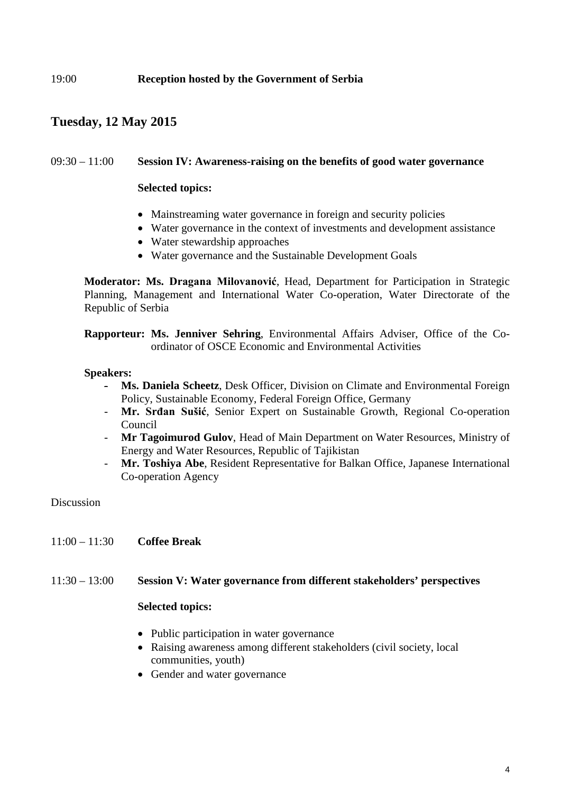## **Tuesday, 12 May 2015**

#### 09:30 – 11:00 **Session IV: Awareness-raising on the benefits of good water governance**

#### **Selected topics:**

- Mainstreaming water governance in foreign and security policies
- Water governance in the context of investments and development assistance
- Water stewardship approaches
- Water governance and the Sustainable Development Goals

**Moderator: Ms. Dragana Milovanović**, Head, Department for Participation in Strategic Planning, Management and International Water Co-operation, Water Directorate of the Republic of Serbia

**Rapporteur: Ms. Jenniver Sehring**, Environmental Affairs Adviser, Office of the Coordinator of OSCE Economic and Environmental Activities

#### **Speakers:**

- Ms. Daniela Scheetz, Desk Officer, Division on Climate and Environmental Foreign Policy, Sustainable Economy, Federal Foreign Office, Germany
- **Mr. Srđan Sušić**, Senior Expert on Sustainable Growth, Regional Co-operation Council
- **Mr Tagoimurod Gulov**, Head of Main Department on Water Resources, Ministry of Energy and Water Resources, Republic of Tajikistan
- Mr. Toshiya Abe, Resident Representative for Balkan Office, Japanese International Co-operation Agency

#### Discussion

11:00 – 11:30 **Coffee Break**

### 11:30 – 13:00 **Session V: Water governance from different stakeholders' perspectives**

#### **Selected topics:**

- Public participation in water governance
- Raising awareness among different stakeholders (civil society, local communities, youth)
- Gender and water governance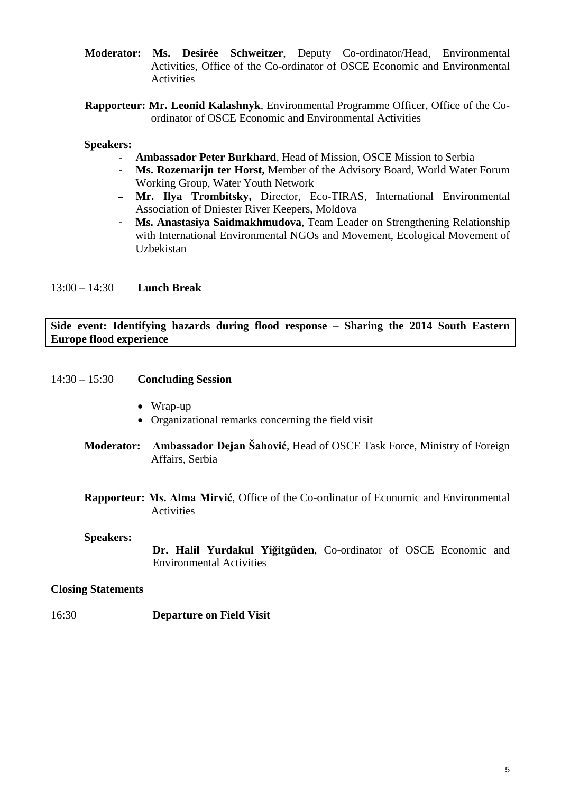- **Moderator: Ms. Desirée Schweitzer**, Deputy Co-ordinator/Head, Environmental Activities, Office of the Co-ordinator of OSCE Economic and Environmental **Activities**
- **Rapporteur: Mr. Leonid Kalashnyk**, Environmental Programme Officer, Office of the Coordinator of OSCE Economic and Environmental Activities

#### **Speakers:**

- **Ambassador Peter Burkhard**, Head of Mission, OSCE Mission to Serbia
- **Ms. Rozemarijn ter Horst,** Member of the Advisory Board, World Water Forum Working Group, Water Youth Network
- **Mr. Ilya Trombitsky,** Director, Eco-TIRAS, International Environmental Association of Dniester River Keepers, Moldova
- **Ms. Anastasiya Saidmakhmudova**, Team Leader on Strengthening Relationship with International Environmental NGOs and Movement, Ecological Movement of Uzbekistan

#### 13:00 – 14:30 **Lunch Break**

#### **Side event: Identifying hazards during flood response – Sharing the 2014 South Eastern Europe flood experience**

- 14:30 15:30 **Concluding Session**
	- Wrap-up
	- Organizational remarks concerning the field visit
	- **Moderator: Ambassador Dejan Šahović**, Head of OSCE Task Force, Ministry of Foreign Affairs, Serbia
	- **Rapporteur: Ms. Alma Mirvić**, Office of the Co-ordinator of Economic and Environmental Activities

#### **Speakers:**

**Dr. Halil Yurdakul Yiğitgüden**, Co-ordinator of OSCE Economic and Environmental Activities

#### **Closing Statements**

16:30 **Departure on Field Visit**